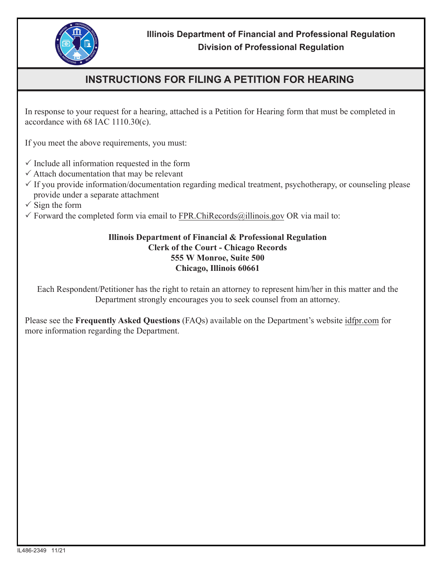

## **INSTRUCTIONS FOR FILING A PETITION FOR HEARING**

In response to your request for a hearing, attached is a Petition for Hearing form that must be completed in accordance with 68 IAC 1110.30(c).

If you meet the above requirements, you must:

- $\checkmark$  Include all information requested in the form
- $\checkmark$  Attach documentation that may be relevant
- $\checkmark$  If you provide information/documentation regarding medical treatment, psychotherapy, or counseling please provide under a separate attachment
- $\checkmark$  Sign the form
- $\checkmark$  Forward the completed form via email to FPR.ChiRecords@illinois.gov OR via mail to:

## **Illinois Department of Financial & Professional Regulation Clerk of the Court - Chicago Records 555 W Monroe, Suite 500 Chicago, Illinois 60661**

Each Respondent/Petitioner has the right to retain an attorney to represent him/her in this matter and the Department strongly encourages you to seek counsel from an attorney.

Please see the **Frequently Asked Questions** (FAQs) available on the Department's website idfpr.com for more information regarding the Department.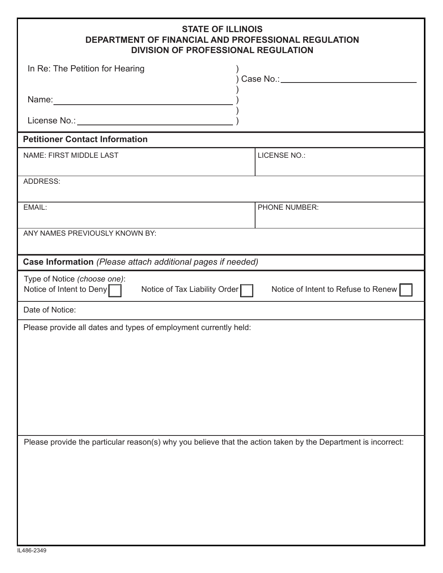## **STATE OF ILLINOIS DEPARTMENT OF FINANCIAL AND PROFESSIONAL REGULATION DIVISION OF PROFESSIONAL REGULATION**

| DIVISION OF PROFESSIONAL REGULATION                                                                                                                                                                                           |                                     |  |  |
|-------------------------------------------------------------------------------------------------------------------------------------------------------------------------------------------------------------------------------|-------------------------------------|--|--|
| In Re: The Petition for Hearing                                                                                                                                                                                               | Case No.: 1988                      |  |  |
| Name: Name and the service of the service of the service of the service of the service of the service of the service of the service of the service of the service of the service of the service of the service of the service |                                     |  |  |
|                                                                                                                                                                                                                               |                                     |  |  |
| <b>Petitioner Contact Information</b>                                                                                                                                                                                         |                                     |  |  |
| NAME: FIRST MIDDLE LAST                                                                                                                                                                                                       | <b>LICENSE NO.:</b>                 |  |  |
| <b>ADDRESS:</b>                                                                                                                                                                                                               |                                     |  |  |
| EMAIL:                                                                                                                                                                                                                        | PHONE NUMBER:                       |  |  |
| ANY NAMES PREVIOUSLY KNOWN BY:                                                                                                                                                                                                |                                     |  |  |
| Case Information (Please attach additional pages if needed)                                                                                                                                                                   |                                     |  |  |
| Type of Notice (choose one):<br>Notice of Intent to Deny<br>Notice of Tax Liability Order                                                                                                                                     | Notice of Intent to Refuse to Renew |  |  |
| Date of Notice:                                                                                                                                                                                                               |                                     |  |  |
| Please provide all dates and types of employment currently held:                                                                                                                                                              |                                     |  |  |
| Please provide the particular reason(s) why you believe that the action taken by the Department is incorrect:                                                                                                                 |                                     |  |  |